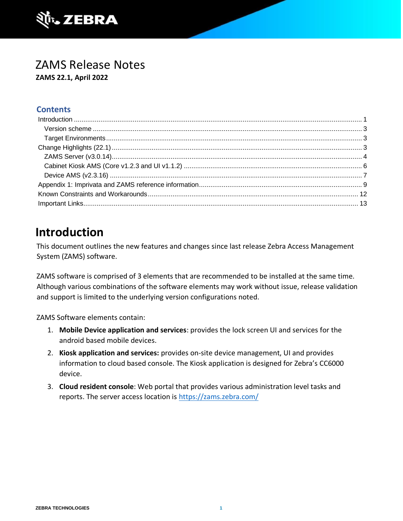

### ZAMS Release Notes **ZAMS 22.1, April 2022**

#### **Contents**

# <span id="page-0-0"></span>**Introduction**

This document outlines the new features and changes since last release Zebra Access Management System (ZAMS) software.

ZAMS software is comprised of 3 elements that are recommended to be installed at the same time. Although various combinations of the software elements may work without issue, release validation and support is limited to the underlying version configurations noted.

ZAMS Software elements contain:

- 1. **Mobile Device application and services**: provides the lock screen UI and services for the android based mobile devices.
- 2. **Kiosk application and services:** provides on-site device management, UI and provides information to cloud based console. The Kiosk application is designed for Zebra's CC6000 device.
- 3. **Cloud resident console**: Web portal that provides various administration level tasks and reports. The server access location is<https://zams.zebra.com/>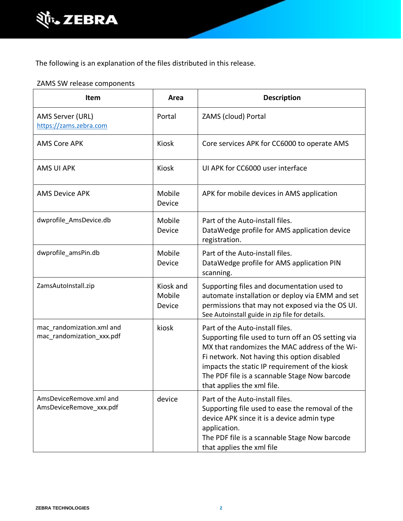

The following is an explanation of the files distributed in this release.

#### ZAMS SW release components

| Item                                                   | Area                          | <b>Description</b>                                                                                                                                                                                                                                                                                                     |
|--------------------------------------------------------|-------------------------------|------------------------------------------------------------------------------------------------------------------------------------------------------------------------------------------------------------------------------------------------------------------------------------------------------------------------|
| AMS Server (URL)<br>https://zams.zebra.com             | Portal                        | ZAMS (cloud) Portal                                                                                                                                                                                                                                                                                                    |
| <b>AMS Core APK</b>                                    | Kiosk                         | Core services APK for CC6000 to operate AMS                                                                                                                                                                                                                                                                            |
| <b>AMS UI APK</b>                                      | <b>Kiosk</b>                  | UI APK for CC6000 user interface                                                                                                                                                                                                                                                                                       |
| <b>AMS Device APK</b>                                  | Mobile<br>Device              | APK for mobile devices in AMS application                                                                                                                                                                                                                                                                              |
| dwprofile_AmsDevice.db                                 | Mobile<br>Device              | Part of the Auto-install files.<br>DataWedge profile for AMS application device<br>registration.                                                                                                                                                                                                                       |
| dwprofile_amsPin.db                                    | Mobile<br>Device              | Part of the Auto-install files.<br>DataWedge profile for AMS application PIN<br>scanning.                                                                                                                                                                                                                              |
| ZamsAutoInstall.zip                                    | Kiosk and<br>Mobile<br>Device | Supporting files and documentation used to<br>automate installation or deploy via EMM and set<br>permissions that may not exposed via the OS UI.<br>See Autoinstall guide in zip file for details.                                                                                                                     |
| mac_randomization.xml and<br>mac_randomization_xxx.pdf | kiosk                         | Part of the Auto-install files.<br>Supporting file used to turn off an OS setting via<br>MX that randomizes the MAC address of the Wi-<br>Fi network. Not having this option disabled<br>impacts the static IP requirement of the kiosk<br>The PDF file is a scannable Stage Now barcode<br>that applies the xml file. |
| AmsDeviceRemove.xml and<br>AmsDeviceRemove_xxx.pdf     | device                        | Part of the Auto-install files.<br>Supporting file used to ease the removal of the<br>device APK since it is a device admin type<br>application.<br>The PDF file is a scannable Stage Now barcode<br>that applies the xml file                                                                                         |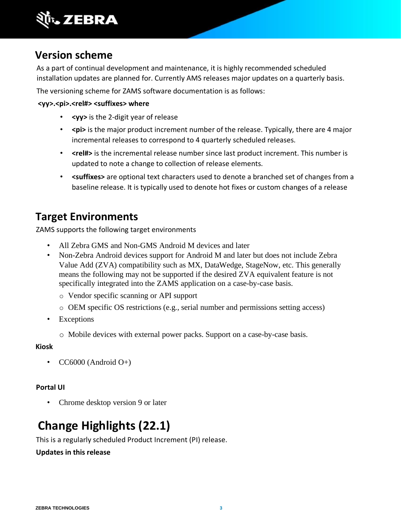

### <span id="page-2-0"></span>**Version scheme**

As a part of continual development and maintenance, it is highly recommended scheduled installation updates are planned for. Currently AMS releases major updates on a quarterly basis.

The versioning scheme for ZAMS software documentation is as follows:

#### <wy>.<pi>.<rel#><suffixes> where

- **<yy>** is the 2-digit year of release
- <pi> is the major product increment number of the release. Typically, there are 4 major incremental releases to correspond to 4 quarterly scheduled releases.
- **<rel#>** is the incremental release number since last product increment. This number is updated to note a change to collection of release elements.
- **<suffixes>** are optional text characters used to denote a branched set of changes from a baseline release. It is typically used to denote hot fixes or custom changes of a release

### <span id="page-2-1"></span>**Target Environments**

ZAMS supports the following target environments

- All Zebra GMS and Non-GMS Android M devices and later
- Non-Zebra Android devices support for Android M and later but does not include Zebra Value Add (ZVA) compatibility such as MX, DataWedge, StageNow, etc. This generally means the following may not be supported if the desired ZVA equivalent feature is not specifically integrated into the ZAMS application on a case-by-case basis.
	- o Vendor specific scanning or API support
	- o OEM specific OS restrictions (e.g., serial number and permissions setting access)
- Exceptions
	- o Mobile devices with external power packs. Support on a case-by-case basis.

#### **Kiosk**

 $CC6000$  (Android  $O+$ )

#### **Portal UI**

• Chrome desktop version 9 or later

# <span id="page-2-2"></span>**Change Highlights (22.1)**

This is a regularly scheduled Product Increment (PI) release.

#### **Updates in this release**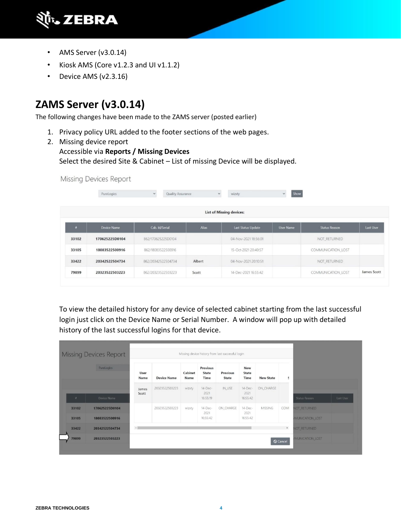

- AMS Server (v3.0.14)
- Kiosk AMS (Core v1.2.3 and UI v1.1.2)
- Device AMS (v2.3.16)

### <span id="page-3-0"></span>**ZAMS Server (v3.0.14)**

The following changes have been made to the ZAMS server (posted earlier)

- 1. Privacy policy URL added to the footer sections of the web pages.
- 2. Missing device report

# Accessible via **Reports / Missing Devices**

Select the desired Site & Cabinet – List of missing Device will be displayed.

Missing Devices Report

|                  | PureLogics         | $\checkmark$<br><b>Quality Assurance</b> |              | wizxty<br>$\checkmark$          | Show<br>$\checkmark$ |                      |             |
|------------------|--------------------|------------------------------------------|--------------|---------------------------------|----------------------|----------------------|-------------|
|                  |                    |                                          |              | <b>List of Missing devices:</b> |                      |                      |             |
| $\boldsymbol{r}$ | <b>Device Name</b> | Cab. Id/Serial                           | <b>Alias</b> | <b>Last Status Update</b>       | <b>User Name</b>     | <b>Status Reason</b> | Last User   |
| 33102            | 170625225D0104     | 862/170625225D0104                       |              | 04-Nov-2021 18:56:01            |                      | NOT_RETURNED         |             |
| 33105            | 18083522500916     | 862/18083522500916                       |              | 15-Oct-2021 20:40:57            |                      | COMMUNICATION LOST   |             |
| 33422            | 20342522504734     | 862/20342522504734                       | Albert       | 04-Nov-2021 20:10:51            |                      | NOT_RETURNED         |             |
| 79899            | 20323522503223     | 862/20323522503223                       | Scott        | 14-Dec-2021 16:55:42            |                      | COMMUNICATION_LOST   | James Scott |

To view the detailed history for any device of selected cabinet starting from the last successful login just click on the Device Name or Serial Number. A window will pop up with detailed history of the last successful logins for that device.

|          | <b>Missing Devices Report</b> |                |                    |                 |                                         | Missing device history from last successful login |                             |                  |                       |                                |           |
|----------|-------------------------------|----------------|--------------------|-----------------|-----------------------------------------|---------------------------------------------------|-----------------------------|------------------|-----------------------|--------------------------------|-----------|
|          | PureLogics                    | User<br>Name   | <b>Device Name</b> | Cabinet<br>Name | <b>Previous</b><br><b>State</b><br>Time | <b>Previous</b><br><b>State</b>                   | New<br><b>State</b><br>Time | <b>New State</b> | $\tilde{\epsilon}$    |                                |           |
|          |                               | James<br>Scott | 20323522503223     | wizxty          | 14-Dec-<br>2021                         | IN_USE                                            | 14-Dec-<br>2021             | ON_CHARGE        |                       |                                |           |
| $\theta$ | Device Name                   |                |                    |                 | 16:55:19                                |                                                   | 16:55:42                    |                  |                       | Status Reason                  | Last User |
| 33102    | 170625225D0104                |                | 20323522503223     | wizxty          | 14-Dec-<br>2021                         | ON_CHARGE                                         | 14-Dec-<br>2021             | <b>MISSING</b>   | COMI                  | NOT_RETURNED                   |           |
| 33105    | 18083522500916                |                |                    |                 | 16:55:42                                |                                                   | 16:55:42                    |                  |                       | <b>IMUNICATION LOST</b>        |           |
| 33422    | 20342522504734                | $\leftarrow$   |                    |                 |                                         |                                                   |                             |                  | $\blacktriangleright$ | <b>NOT RETURNED</b>            |           |
| 79899    | 20323522503223                |                |                    |                 |                                         |                                                   |                             |                  | <b>Q</b> Cancel       | <b><i>IMUNICATION_LOST</i></b> |           |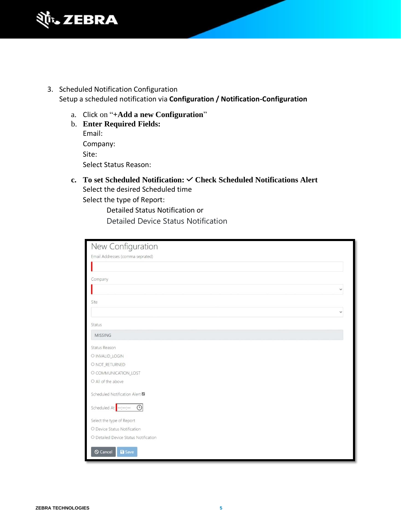

- 3. Scheduled Notification Configuration Setup a scheduled notification via **Configuration / Notification-Configuration**
	- a. Click on "**+Add a new Configuration**"

| b. Enter Required Fields: |
|---------------------------|
| Email:                    |
| Company:                  |
| Site:                     |
| Select Status Reason:     |
|                           |

**c. To set Scheduled Notification: Check Scheduled Notifications Alert**  Select the desired Scheduled time Select the type of Report:

Detailed Status Notification or Detailed Device Status Notification

| New Configuration                           |  |
|---------------------------------------------|--|
| Email Addresses (comma seprated)            |  |
|                                             |  |
|                                             |  |
| Company                                     |  |
| $\checkmark$                                |  |
| Site                                        |  |
|                                             |  |
| Status                                      |  |
| <b>MISSING</b>                              |  |
| Status Reason                               |  |
| O INVALID_LOGIN                             |  |
| O NOT_RETURNED                              |  |
| O COMMUNICATION_LOST                        |  |
| O All of the above                          |  |
| Scheduled Notification Alert                |  |
| Scheduled At $\leftarrow$ :--:-- $\bigcirc$ |  |
| Select the type of Report                   |  |
| O Device Status Notification                |  |
| O Detailed Device Status Notification       |  |
| $\bigcirc$ Cancel<br><b>a</b> Save          |  |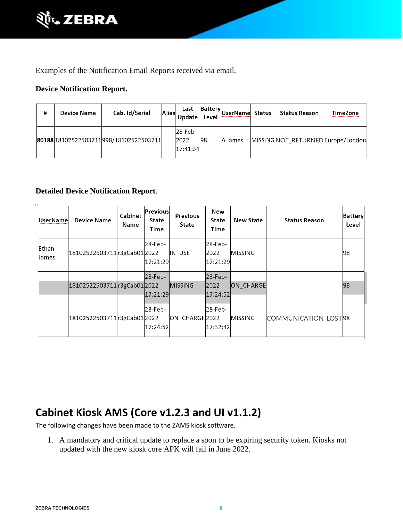

Examples of the Notification Email Reports received via email.

#### **Device Notification Report.**

| # | <b>Device Name</b> | Cab. Id/Serial                            | Alias | Last<br>Update              | Level | - Battery UserName Status | <b>Status Reason</b>              | <b>TimeZone</b> |
|---|--------------------|-------------------------------------------|-------|-----------------------------|-------|---------------------------|-----------------------------------|-----------------|
|   |                    | 80188 18102522503711 998 / 18102522503711 |       | 28-Feb-<br>2022<br>17:41:34 | 98    | A James                   | MISSINGNOT RETURNED Europe/London |                 |

#### **Detailed Device Notification Report**.

| UserNamel             | <b>Device Name</b>           | Cabinet<br>Name | Previous<br>State<br>Time | Previous<br>State | New<br><b>State</b><br>Time | <b>New State</b> | <b>Status Reason</b>  | <b>Battery</b><br>Level |
|-----------------------|------------------------------|-----------------|---------------------------|-------------------|-----------------------------|------------------|-----------------------|-------------------------|
| Ethan<br><b>James</b> | 18102522503711 r3gCab01 2022 |                 | 28-Feb-<br>17:21:29       | IN USE            | 28-Feb-<br>2022<br>17:21:29 | <b>MISSING</b>   |                       | 98                      |
|                       | 18102522503711 r3gCab01 2022 |                 | $28$ -Feb-<br>17:21:29    | <b>MISSING</b>    | 28-Feb-<br>2022<br>17:24:52 | ON CHARGE        |                       | 98                      |
|                       | 18102522503711 r3gCab01 2022 |                 | 28-Feb-<br>17:24:52       | ON CHARGE 2022    | $28$ -Feb-<br>17:32:42      | <b>MISSING</b>   | COMMUNICATION_LOST 98 |                         |

### <span id="page-5-0"></span>**Cabinet Kiosk AMS (Core v1.2.3 and UI v1.1.2)**

The following changes have been made to the ZAMS kiosk software.

1. A mandatory and critical update to replace a soon to be expiring security token. Kiosks not updated with the new kiosk core APK will fail in June 2022.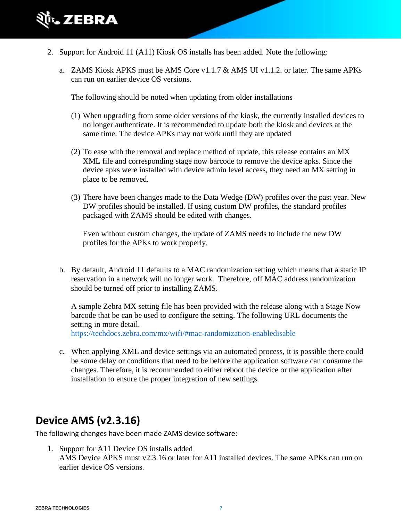

- 2. Support for Android 11 (A11) Kiosk OS installs has been added. Note the following:
	- a. ZAMS Kiosk APKS must be AMS Core v1.1.7  $\&$  AMS UI v1.1.2. or later. The same APKs can run on earlier device OS versions.

The following should be noted when updating from older installations

- (1) When upgrading from some older versions of the kiosk, the currently installed devices to no longer authenticate. It is recommended to update both the kiosk and devices at the same time. The device APKs may not work until they are updated
- (2) To ease with the removal and replace method of update, this release contains an MX XML file and corresponding stage now barcode to remove the device apks. Since the device apks were installed with device admin level access, they need an MX setting in place to be removed.
- (3) There have been changes made to the Data Wedge (DW) profiles over the past year. New DW profiles should be installed. If using custom DW profiles, the standard profiles packaged with ZAMS should be edited with changes.

Even without custom changes, the update of ZAMS needs to include the new DW profiles for the APKs to work properly.

b. By default, Android 11 defaults to a MAC randomization setting which means that a static IP reservation in a network will no longer work. Therefore, off MAC address randomization should be turned off prior to installing ZAMS.

A sample Zebra MX setting file has been provided with the release along with a Stage Now barcode that be can be used to configure the setting. The following URL documents the setting in more detail.

<https://techdocs.zebra.com/mx/wifi/#mac-randomization-enabledisable>

c. When applying XML and device settings via an automated process, it is possible there could be some delay or conditions that need to be before the application software can consume the changes. Therefore, it is recommended to either reboot the device or the application after installation to ensure the proper integration of new settings.

### <span id="page-6-0"></span>**Device AMS (v2.3.16)**

The following changes have been made ZAMS device software:

1. Support for A11 Device OS installs added AMS Device APKS must v2.3.16 or later for A11 installed devices. The same APKs can run on earlier device OS versions.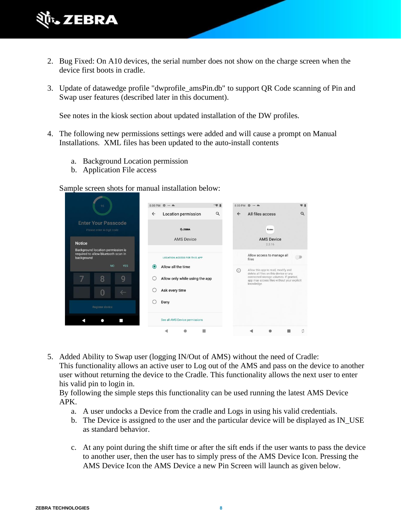

- 2. Bug Fixed: On A10 devices, the serial number does not show on the charge screen when the device first boots in cradle.
- 3. Update of datawedge profile "dwprofile\_amsPin.db" to support QR Code scanning of Pin and Swap user features (described later in this document).

See notes in the kiosk section about updated installation of the DW profiles.

- 4. The following new permissions settings were added and will cause a prompt on Manual Installations. XML files has been updated to the auto-install contents
	- a. Background Location permission
	- b. Application File access

Sample screen shots for manual installation below:

| 95                                                                                     | 8:00 PM $\ddot{\mathbf{x}} \cdot - \mathbf{A}$<br>49.1 | 8:00 PM $\hat{\mathbf{u}} =$<br>常自                                                                                                           |
|----------------------------------------------------------------------------------------|--------------------------------------------------------|----------------------------------------------------------------------------------------------------------------------------------------------|
|                                                                                        | Q<br><b>Location permission</b><br>$\leftarrow$        | $\alpha$<br>$\leftarrow$<br>All files access                                                                                                 |
| <b>Enter Your Passcode</b><br>Please enter 4-digit code                                | <b>M. ZEBRA</b>                                        | <b><i>B. ZEBRA</i></b>                                                                                                                       |
| <b>Notice</b>                                                                          | <b>AMS Device</b>                                      | <b>AMS Device</b><br>2.3.16                                                                                                                  |
| Background location permission is<br>required to allow bluetooth scan in<br>background | <b>LOCATION ACCESS FOR THIS APP</b>                    | Allow access to manage all<br>files                                                                                                          |
| <b>NO</b><br><b>YES</b>                                                                | Allow all the time<br>$\odot$                          | Allow this app to read, modify and<br>(i)                                                                                                    |
| 8<br>9                                                                                 | Allow only while using the app                         | delete all files on this device or any<br>connected storage volumes. If granted,<br>app may access files without your explicit<br>knowledge. |
| 0<br>$\leftarrow$                                                                      | Ask every time                                         |                                                                                                                                              |
| Register device                                                                        | Deny                                                   |                                                                                                                                              |
|                                                                                        | See all AMS Device permissions                         |                                                                                                                                              |
|                                                                                        |                                                        | ũ                                                                                                                                            |

5. Added Ability to Swap user (logging IN/Out of AMS) without the need of Cradle: This functionality allows an active user to Log out of the AMS and pass on the device to another user without returning the device to the Cradle. This functionality allows the next user to enter his valid pin to login in.

By following the simple steps this functionality can be used running the latest AMS Device APK.

- a. A user undocks a Device from the cradle and Logs in using his valid credentials.
- b. The Device is assigned to the user and the particular device will be displayed as IN\_USE as standard behavior.
- c. At any point during the shift time or after the sift ends if the user wants to pass the device to another user, then the user has to simply press of the AMS Device Icon. Pressing the AMS Device Icon the AMS Device a new Pin Screen will launch as given below.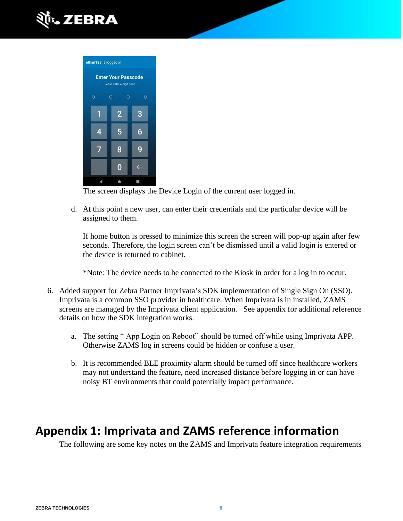



The screen displays the Device Login of the current user logged in.

d. At this point a new user, can enter their credentials and the particular device will be assigned to them.

If home button is pressed to minimize this screen the screen will pop-up again after few seconds. Therefore, the login screen can't be dismissed until a valid login is entered or the device is returned to cabinet.

\*Note: The device needs to be connected to the Kiosk in order for a log in to occur.

- 6. Added support for Zebra Partner Imprivata's SDK implementation of Single Sign On (SSO). Imprivata is a common SSO provider in healthcare. When Imprivata is in installed, ZAMS screens are managed by the Imprivata client application. See appendix for additional reference details on how the SDK integration works.
	- a. The setting " App Login on Reboot" should be turned off while using Imprivata APP. Otherwise ZAMS log in screens could be hidden or confuse a user.
	- b. It is recommended BLE proximity alarm should be turned off since healthcare workers may not understand the feature, need increased distance before logging in or can have noisy BT environments that could potentially impact performance.

# <span id="page-8-0"></span>**Appendix 1: Imprivata and ZAMS reference information**

The following are some key notes on the ZAMS and Imprivata feature integration requirements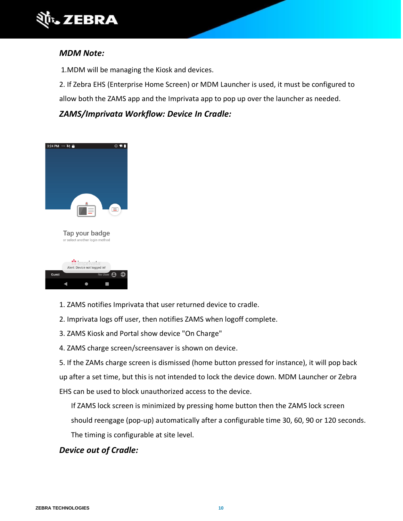

#### *MDM Note:*

1.MDM will be managing the Kiosk and devices.

2. If Zebra EHS (Enterprise Home Screen) or MDM Launcher is used, it must be configured to

allow both the ZAMS app and the Imprivata app to pop up over the launcher as needed.

#### *ZAMS/Imprivata Workflow: Device In Cradle:*





- 1. ZAMS notifies Imprivata that user returned device to cradle.
- 2. Imprivata logs off user, then notifies ZAMS when logoff complete.
- 3. ZAMS Kiosk and Portal show device "On Charge"
- 4. ZAMS charge screen/screensaver is shown on device.
- 5. If the ZAMs charge screen is dismissed (home button pressed for instance), it will pop back

up after a set time, but this is not intended to lock the device down. MDM Launcher or Zebra

EHS can be used to block unauthorized access to the device.

If ZAMS lock screen is minimized by pressing home button then the ZAMS lock screen

should reengage (pop-up) automatically after a configurable time 30, 60, 90 or 120 seconds.

The timing is configurable at site level.

#### *Device out of Cradle:*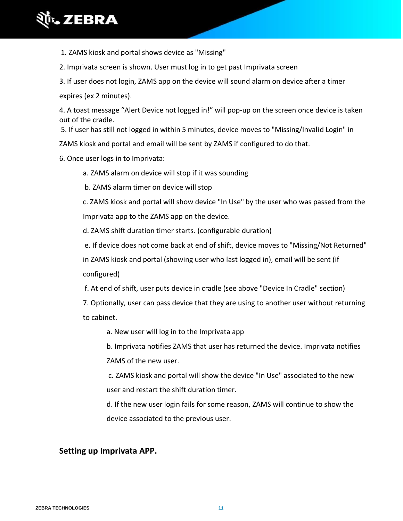

1. ZAMS kiosk and portal shows device as "Missing"

2. Imprivata screen is shown. User must log in to get past Imprivata screen

3. If user does not login, ZAMS app on the device will sound alarm on device after a timer

expires (ex 2 minutes).

4. A toast message "Alert Device not logged in!" will pop-up on the screen once device is taken out of the cradle.

5. If user has still not logged in within 5 minutes, device moves to "Missing/Invalid Login" in

ZAMS kiosk and portal and email will be sent by ZAMS if configured to do that.

6. Once user logs in to Imprivata:

a. ZAMS alarm on device will stop if it was sounding

b. ZAMS alarm timer on device will stop

c. ZAMS kiosk and portal will show device "In Use" by the user who was passed from the Imprivata app to the ZAMS app on the device.

d. ZAMS shift duration timer starts. (configurable duration)

e. If device does not come back at end of shift, device moves to "Missing/Not Returned"

in ZAMS kiosk and portal (showing user who last logged in), email will be sent (if

configured)

f. At end of shift, user puts device in cradle (see above "Device In Cradle" section)

7. Optionally, user can pass device that they are using to another user without returning to cabinet.

a. New user will log in to the Imprivata app

b. Imprivata notifies ZAMS that user has returned the device. Imprivata notifies ZAMS of the new user.

c. ZAMS kiosk and portal will show the device "In Use" associated to the new user and restart the shift duration timer.

d. If the new user login fails for some reason, ZAMS will continue to show the device associated to the previous user.

#### **Setting up Imprivata APP.**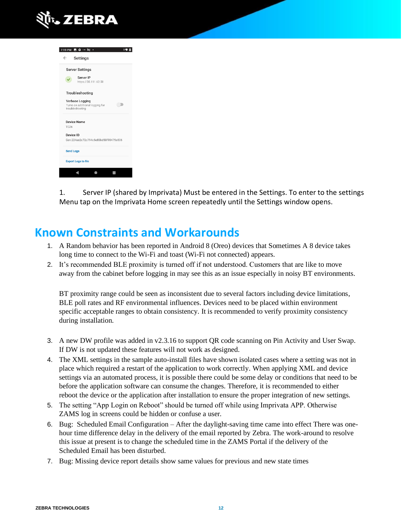

| 7:19 PM <b>E</b> $\Phi - \delta \phi$                                 |  |
|-----------------------------------------------------------------------|--|
| $\leftarrow$<br>Settings                                              |  |
| <b>Server Settings</b>                                                |  |
| Server IP<br>https://38.111.62.50                                     |  |
| Troubleshooting                                                       |  |
| Verbose Logging<br>Turns on additional logging for<br>troubleshooting |  |
| <b>Device Name</b>                                                    |  |
| <b>TC26</b>                                                           |  |
| Device ID                                                             |  |
| Gen:224ae2c72c794c5e83bd58f90475e506                                  |  |
| <b>Send Logs</b>                                                      |  |
| <b>Export Logs to file</b>                                            |  |
|                                                                       |  |
|                                                                       |  |

1. Server IP (shared by Imprivata) Must be entered in the Settings. To enter to the settings Menu tap on the Imprivata Home screen repeatedly until the Settings window opens.

## <span id="page-11-0"></span>**Known Constraints and Workarounds**

- 1. A Random behavior has been reported in Android 8 (Oreo) devices that Sometimes A 8 device takes long time to connect to the Wi-Fi and toast (Wi-Fi not connected) appears.
- 2. It's recommended BLE proximity is turned off if not understood. Customers that are like to move away from the cabinet before logging in may see this as an issue especially in noisy BT environments.

BT proximity range could be seen as inconsistent due to several factors including device limitations, BLE poll rates and RF environmental influences. Devices need to be placed within environment specific acceptable ranges to obtain consistency. It is recommended to verify proximity consistency during installation.

- 3. A new DW profile was added in v2.3.16 to support QR code scanning on Pin Activity and User Swap. If DW is not updated these features will not work as designed.
- 4. The XML settings in the sample auto-install files have shown isolated cases where a setting was not in place which required a restart of the application to work correctly. When applying XML and device settings via an automated process, it is possible there could be some delay or conditions that need to be before the application software can consume the changes. Therefore, it is recommended to either reboot the device or the application after installation to ensure the proper integration of new settings.
- 5. The setting "App Login on Reboot" should be turned off while using Imprivata APP. Otherwise ZAMS log in screens could be hidden or confuse a user.
- 6. Bug: Scheduled Email Configuration After the daylight-saving time came into effect There was onehour time difference delay in the delivery of the email reported by Zebra. The work-around to resolve this issue at present is to change the scheduled time in the ZAMS Portal if the delivery of the Scheduled Email has been disturbed.
- 7. Bug: Missing device report details show same values for previous and new state times